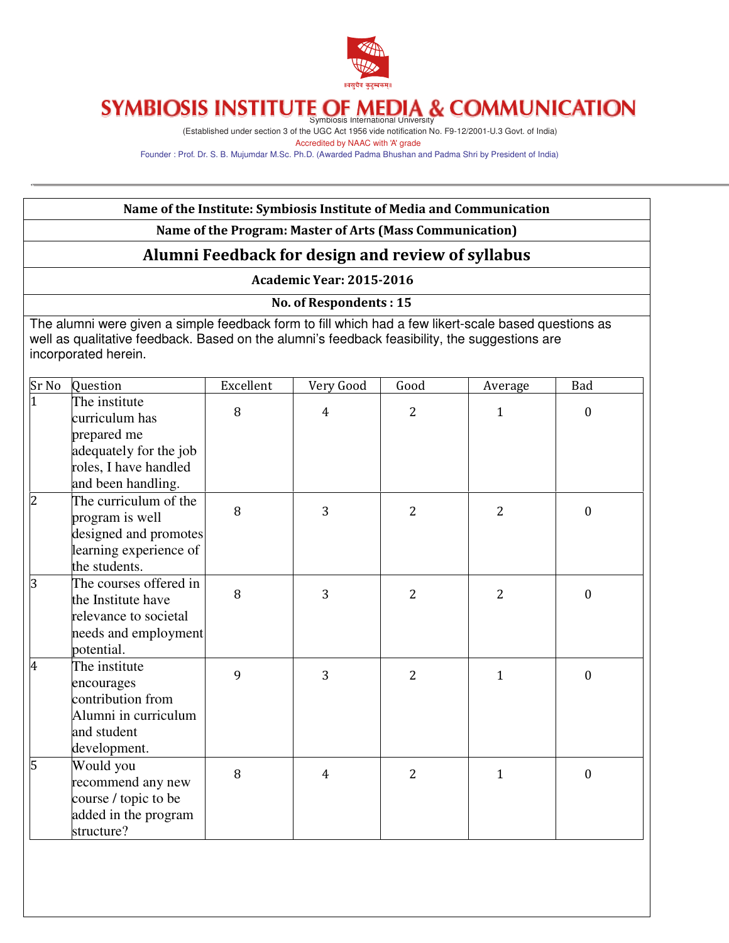

## Symbiosis International University

(Established under section 3 of the UGC Act 1956 vide notification No. F9-12/2001-U.3 Govt. of India) Accredited by NAAC with 'A' grade

Founder : Prof. Dr. S. B. Mujumdar M.Sc. Ph.D. (Awarded Padma Bhushan and Padma Shri by President of India)

| Name of the Institute: Symbiosis Institute of Media and Communication                                                                                                                                                         |                                                                                                                         |           |                                 |                |                |                  |
|-------------------------------------------------------------------------------------------------------------------------------------------------------------------------------------------------------------------------------|-------------------------------------------------------------------------------------------------------------------------|-----------|---------------------------------|----------------|----------------|------------------|
| Name of the Program: Master of Arts (Mass Communication)                                                                                                                                                                      |                                                                                                                         |           |                                 |                |                |                  |
|                                                                                                                                                                                                                               | Alumni Feedback for design and review of syllabus                                                                       |           |                                 |                |                |                  |
|                                                                                                                                                                                                                               |                                                                                                                         |           | <b>Academic Year: 2015-2016</b> |                |                |                  |
|                                                                                                                                                                                                                               |                                                                                                                         |           | <b>No. of Respondents: 15</b>   |                |                |                  |
| The alumni were given a simple feedback form to fill which had a few likert-scale based questions as<br>well as qualitative feedback. Based on the alumni's feedback feasibility, the suggestions are<br>incorporated herein. |                                                                                                                         |           |                                 |                |                |                  |
| Sr No                                                                                                                                                                                                                         | Question                                                                                                                | Excellent | Very Good                       | Good           | Average        | <b>Bad</b>       |
|                                                                                                                                                                                                                               | The institute<br>curriculum has<br>prepared me<br>adequately for the job<br>roles, I have handled<br>and been handling. | 8         | 4                               | $\overline{2}$ | 1              | $\mathbf{0}$     |
|                                                                                                                                                                                                                               | The curriculum of the<br>program is well<br>designed and promotes<br>learning experience of<br>the students.            | 8         | 3                               | $\overline{2}$ | 2              | $\mathbf{0}$     |
|                                                                                                                                                                                                                               | The courses offered in<br>the Institute have<br>relevance to societal<br>needs and employment<br>potential.             | 8         | 3                               | $\overline{2}$ | $\overline{2}$ | $\mathbf{0}$     |
| 4                                                                                                                                                                                                                             | The institute<br>encourages<br>contribution from<br>Alumni in curriculum<br>and student<br>development.                 | 9         | 3                               | $\overline{2}$ | $\mathbf{1}$   | $\mathbf{0}$     |
| 5                                                                                                                                                                                                                             | Would you<br>recommend any new<br>course / topic to be<br>added in the program<br>structure?                            | 8         | $\overline{4}$                  | $\overline{2}$ | $\mathbf{1}$   | $\boldsymbol{0}$ |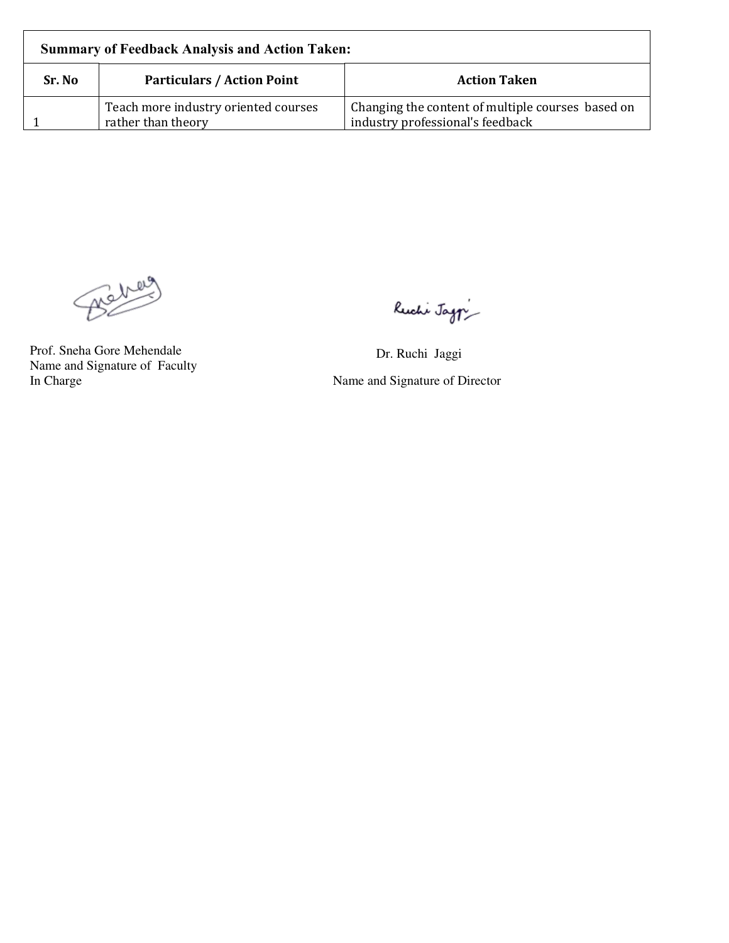| <b>Summary of Feedback Analysis and Action Taken:</b> |                                                            |                                                                                       |  |  |
|-------------------------------------------------------|------------------------------------------------------------|---------------------------------------------------------------------------------------|--|--|
| Sr. No                                                | <b>Particulars / Action Point</b>                          | <b>Action Taken</b>                                                                   |  |  |
|                                                       | Teach more industry oriented courses<br>rather than theory | Changing the content of multiple courses based on<br>industry professional's feedback |  |  |

Benez

Prof. Sneha Gore Mehendale Dr. Ruchi Jaggi Name and Signature of Faculty

Ruchi Jag $\gamma$ 

Name and Signature of Director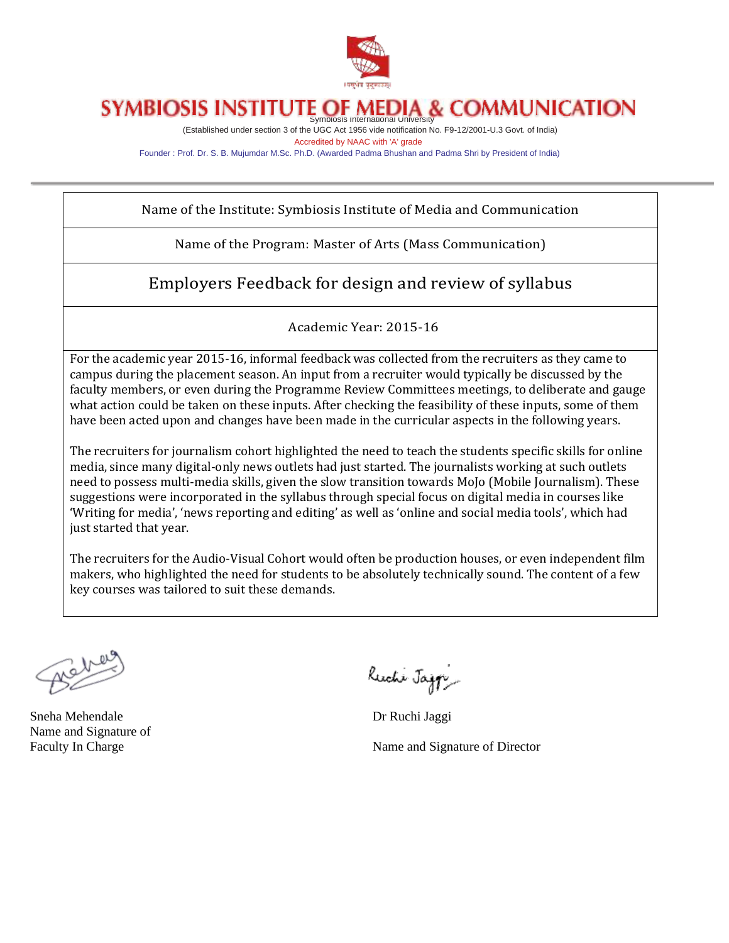

### **SYMBIOSIS INSTITUTE OF M COMMUNICATION** Symbiosis International University

(Established under section 3 of the UGC Act 1956 vide notification No. F9-12/2001-U.3 Govt. of India) Accredited by NAAC with 'A' grade

Founder : Prof. Dr. S. B. Mujumdar M.Sc. Ph.D. (Awarded Padma Bhushan and Padma Shri by President of India)

Name of the Institute: Symbiosis Institute of Media and Communication

Name of the Program: Master of Arts (Mass Communication)

Employers Feedback for design and review of syllabus

Academic Year: 2015-16

For the academic year 2015-16, informal feedback was collected from the recruiters as they came to campus during the placement season. An input from a recruiter would typically be discussed by the faculty members, or even during the Programme Review Committees meetings, to deliberate and gauge what action could be taken on these inputs. After checking the feasibility of these inputs, some of them have been acted upon and changes have been made in the curricular aspects in the following years.

The recruiters for journalism cohort highlighted the need to teach the students specific skills for online media, since many digital-only news outlets had just started. The journalists working at such outlets need to possess multi-media skills, given the slow transition towards MoJo (Mobile Journalism). These suggestions were incorporated in the syllabus through special focus on digital media in courses like 'Writing for media', 'news reporting and editing' as well as 'online and social media tools', which had just started that year.

The recruiters for the Audio-Visual Cohort would often be production houses, or even independent film makers, who highlighted the need for students to be absolutely technically sound. The content of a few key courses was tailored to suit these demands.

Sneha Mehendale Dr Ruchi Jaggi Name and Signature of

Ruchi Jazzi

Faculty In Charge Name and Signature of Director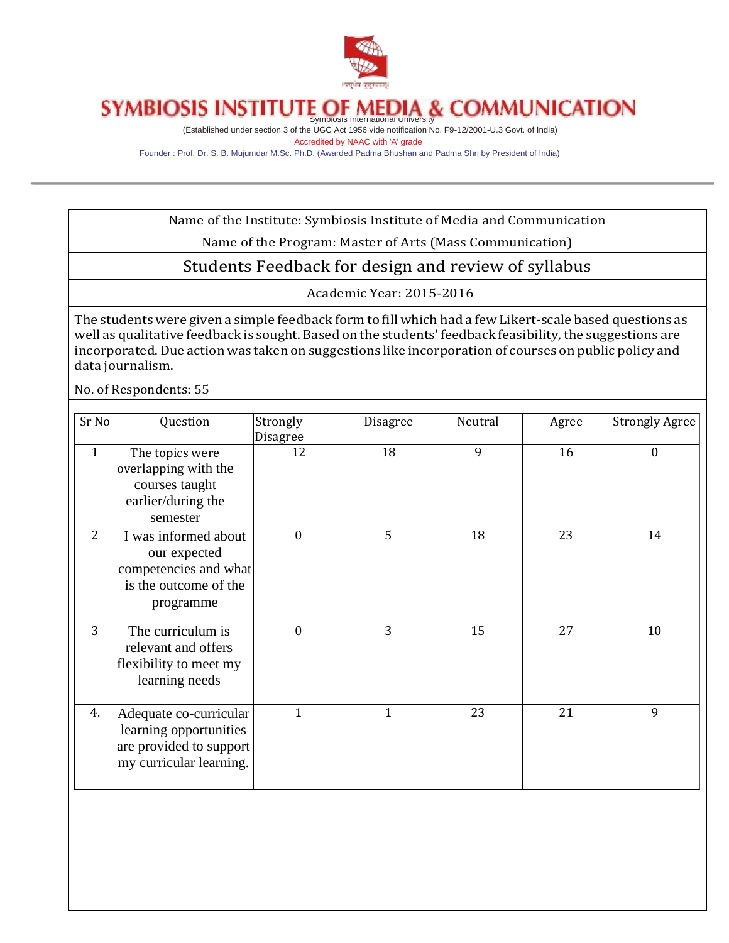

# SYMBIOSIS INSTITUTE OF MEDIA & COMMUNICATION

(Established under section 3 of the UGC Act 1956 vide notification No. F9-12/2001-U.3 Govt. of India) Accredited by NAAC with 'A' grade

Founder : Prof. Dr. S. B. Mujumdar M.Sc. Ph.D. (Awarded Padma Bhushan and Padma Shri by President of India)

Name of the Institute: Symbiosis Institute of Media and Communication

Name of the Program: Master of Arts (Mass Communication)

Students Feedback for design and review of syllabus

Academic Year: 2015-2016

The students were given a simple feedback form to fill which had a few Likert-scale based questions as well as qualitative feedback is sought. Based on the students' feedback feasibility, the suggestions are incorporated.Due action was taken on suggestions like incorporation of courses on public policy and data journalism.

No. of Respondents: 55

| Sr No        | Question                                                                                               | Strongly<br>Disagree | Disagree     | Neutral | Agree | <b>Strongly Agree</b> |
|--------------|--------------------------------------------------------------------------------------------------------|----------------------|--------------|---------|-------|-----------------------|
| $\mathbf{1}$ | The topics were<br>overlapping with the<br>courses taught<br>earlier/during the<br>semester            | 12                   | 18           | 9       | 16    | $\mathbf{0}$          |
| 2            | I was informed about<br>our expected<br>competencies and what<br>is the outcome of the<br>programme    | $\mathbf{0}$         | 5            | 18      | 23    | 14                    |
| 3            | The curriculum is<br>relevant and offers<br>flexibility to meet my<br>learning needs                   | $\theta$             | 3            | 15      | 27    | 10                    |
| 4.           | Adequate co-curricular<br>learning opportunities<br>are provided to support<br>my curricular learning. | 1                    | $\mathbf{1}$ | 23      | 21    | 9                     |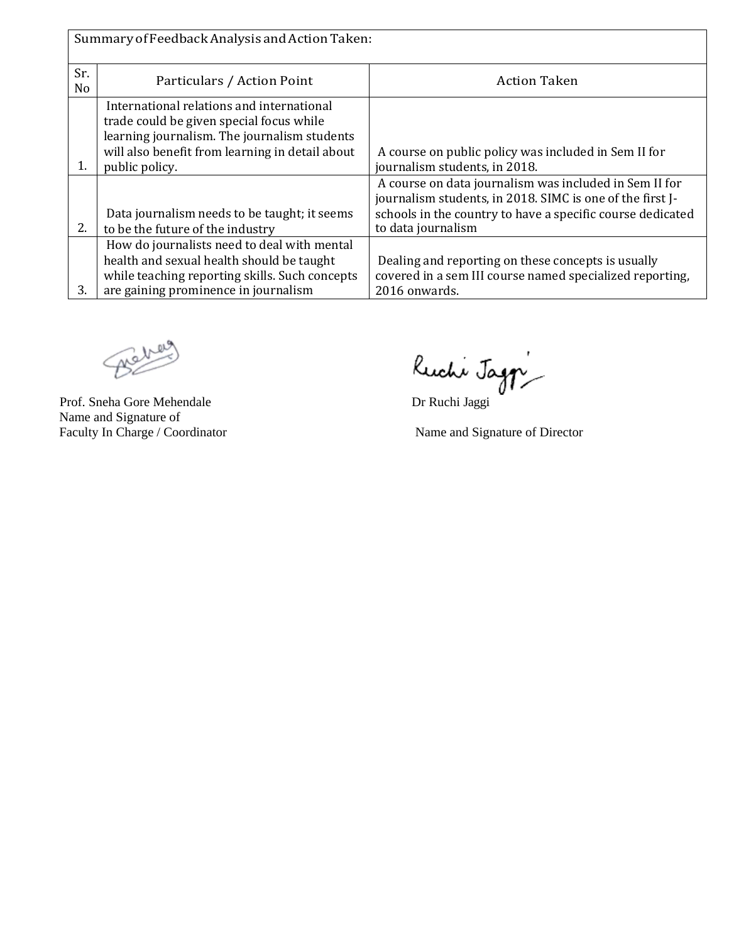| Summary of Feedback Analysis and Action Taken: |                                                                                                                                                                                                            |                                                                                                                                                                                                         |  |  |  |
|------------------------------------------------|------------------------------------------------------------------------------------------------------------------------------------------------------------------------------------------------------------|---------------------------------------------------------------------------------------------------------------------------------------------------------------------------------------------------------|--|--|--|
| Sr.<br>N <sub>o</sub>                          | Particulars / Action Point                                                                                                                                                                                 | <b>Action Taken</b>                                                                                                                                                                                     |  |  |  |
| 1.                                             | International relations and international<br>trade could be given special focus while<br>learning journalism. The journalism students<br>will also benefit from learning in detail about<br>public policy. | A course on public policy was included in Sem II for<br>journalism students, in 2018.                                                                                                                   |  |  |  |
| 2.                                             | Data journalism needs to be taught; it seems<br>to be the future of the industry                                                                                                                           | A course on data journalism was included in Sem II for<br>journalism students, in 2018. SIMC is one of the first J-<br>schools in the country to have a specific course dedicated<br>to data journalism |  |  |  |
| 3.                                             | How do journalists need to deal with mental<br>health and sexual health should be taught<br>while teaching reporting skills. Such concepts<br>are gaining prominence in journalism                         | Dealing and reporting on these concepts is usually<br>covered in a sem III course named specialized reporting,<br>2016 onwards.                                                                         |  |  |  |

Behaus

Name and Signature of Faculty In Charge / Coordinator Name and Signature of Director

Prof. Sneha Gore Mehendale Dr Ruchi Jaggi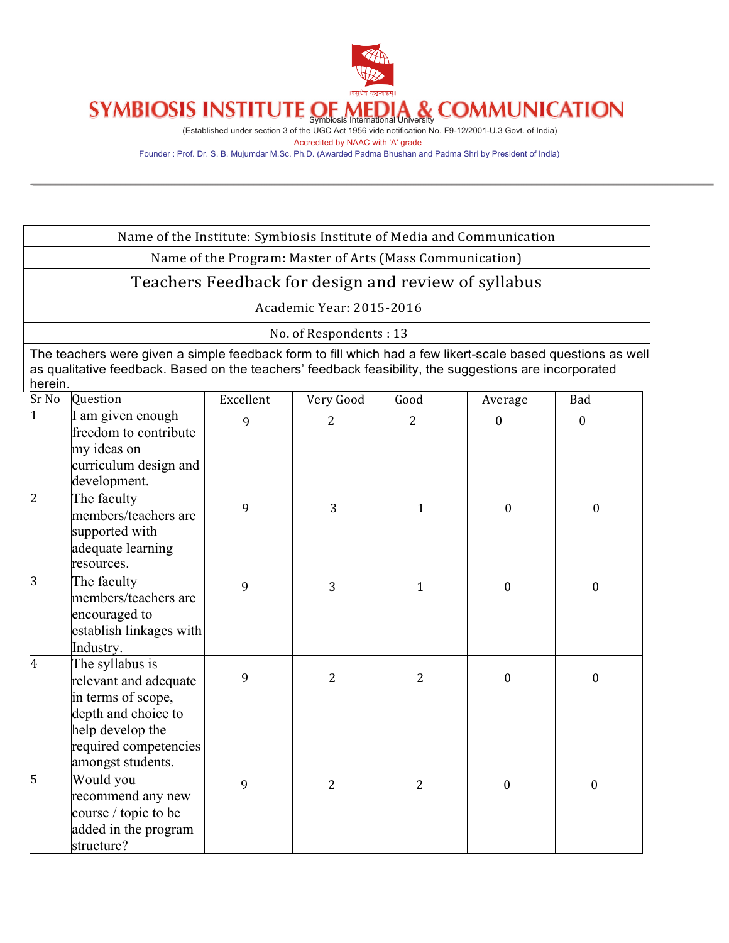

### **COMMUNICATION** Symbiosis International University

(Established under section 3 of the UGC Act 1956 vide notification No. F9-12/2001-U.3 Govt. of India) Accredited by NAAC with 'A' grade

Founder : Prof. Dr. S. B. Mujumdar M.Sc. Ph.D. (Awarded Padma Bhushan and Padma Shri by President of India)

| Name of the Institute: Symbiosis Institute of Media and Communication                                                                                                                                                            |                                                                                                                                                         |           |                        |                |                  |                  |
|----------------------------------------------------------------------------------------------------------------------------------------------------------------------------------------------------------------------------------|---------------------------------------------------------------------------------------------------------------------------------------------------------|-----------|------------------------|----------------|------------------|------------------|
| Name of the Program: Master of Arts (Mass Communication)                                                                                                                                                                         |                                                                                                                                                         |           |                        |                |                  |                  |
|                                                                                                                                                                                                                                  | Teachers Feedback for design and review of syllabus                                                                                                     |           |                        |                |                  |                  |
|                                                                                                                                                                                                                                  | Academic Year: 2015-2016                                                                                                                                |           |                        |                |                  |                  |
|                                                                                                                                                                                                                                  |                                                                                                                                                         |           | No. of Respondents: 13 |                |                  |                  |
| The teachers were given a simple feedback form to fill which had a few likert-scale based questions as well<br>as qualitative feedback. Based on the teachers' feedback feasibility, the suggestions are incorporated<br>herein. |                                                                                                                                                         |           |                        |                |                  |                  |
| $S_{r}$ No                                                                                                                                                                                                                       | Question                                                                                                                                                | Excellent | Very Good              | Good           | Average          | Bad              |
| $\mathbf{1}$                                                                                                                                                                                                                     | I am given enough<br>freedom to contribute<br>my ideas on<br>curriculum design and<br>development.                                                      | 9         | $\overline{2}$         | 2              | $\boldsymbol{0}$ | $\boldsymbol{0}$ |
| $\overline{2}$                                                                                                                                                                                                                   | The faculty<br>members/teachers are<br>supported with<br>adequate learning<br>resources.                                                                | 9         | 3                      | 1              | $\theta$         | $\theta$         |
| 3                                                                                                                                                                                                                                | The faculty<br>members/teachers are<br>encouraged to<br>establish linkages with<br>Industry.                                                            | 9         | 3                      | $\mathbf{1}$   | $\boldsymbol{0}$ | $\boldsymbol{0}$ |
| 4                                                                                                                                                                                                                                | The syllabus is<br>relevant and adequate<br>in terms of scope,<br>depth and choice to<br>help develop the<br>required competencies<br>amongst students. | 9         | $\overline{2}$         | $\overline{2}$ | $\boldsymbol{0}$ | $\boldsymbol{0}$ |
| 5                                                                                                                                                                                                                                | Would you<br>recommend any new<br>course / topic to be<br>added in the program<br>structure?                                                            | 9         | $\overline{2}$         | $\overline{2}$ | $\boldsymbol{0}$ | $\mathbf{0}$     |